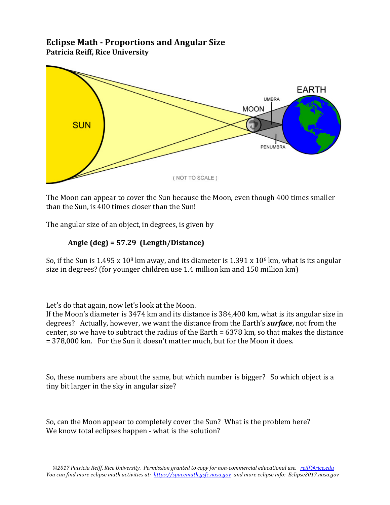## **Eclipse Math - Proportions and Angular Size Patricia Reiff, Rice University**



The Moon can appear to cover the Sun because the Moon, even though 400 times smaller than the Sun, is 400 times closer than the Sun!

The angular size of an object, in degrees, is given by

## Angle  $(\text{deg}) = 57.29$  (Length/Distance)

So, if the Sun is  $1.495 \times 10^8$  km away, and its diameter is  $1.391 \times 10^6$  km, what is its angular size in degrees? (for younger children use  $1.4$  million km and  $150$  million km)

Let's do that again, now let's look at the Moon.

If the Moon's diameter is  $3474 \text{ km}$  and its distance is  $384,400 \text{ km}$ , what is its angular size in degrees? Actually, however, we want the distance from the Earth's *surface*, not from the center, so we have to subtract the radius of the Earth =  $6378 \text{ km}$ , so that makes the distance  $= 378,000$  km. For the Sun it doesn't matter much, but for the Moon it does.

So, these numbers are about the same, but which number is bigger? So which object is a tiny bit larger in the sky in angular size?

So, can the Moon appear to completely cover the Sun? What is the problem here? We know total eclipses happen - what is the solution?